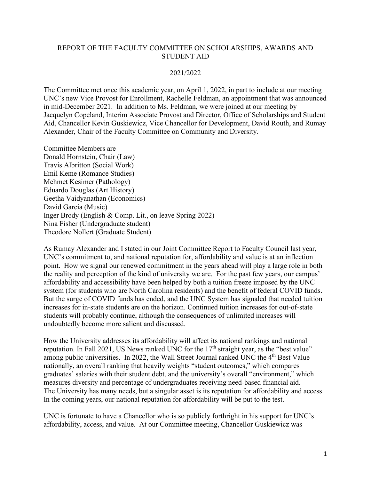## REPORT OF THE FACULTY COMMITTEE ON SCHOLARSHIPS, AWARDS AND STUDENT AID

### 2021/2022

The Committee met once this academic year, on April 1, 2022, in part to include at our meeting UNC's new Vice Provost for Enrollment, Rachelle Feldman, an appointment that was announced in mid-December 2021. In addition to Ms. Feldman, we were joined at our meeting by Jacquelyn Copeland, Interim Associate Provost and Director, Office of Scholarships and Student Aid, Chancellor Kevin Guskiewicz, Vice Chancellor for Development, David Routh, and Rumay Alexander, Chair of the Faculty Committee on Community and Diversity.

Committee Members are Donald Hornstein, Chair (Law) Travis Albritton (Social Work) Emil Keme (Romance Studies) Mehmet Kesimer (Pathology) Eduardo Douglas (Art History) Geetha Vaidyanathan (Economics) David Garcia (Music) Inger Brody (English & Comp. Lit., on leave Spring 2022) Nina Fisher (Undergraduate student) Theodore Nollert (Graduate Student)

As Rumay Alexander and I stated in our Joint Committee Report to Faculty Council last year, UNC's commitment to, and national reputation for, affordability and value is at an inflection point. How we signal our renewed commitment in the years ahead will play a large role in both the reality and perception of the kind of university we are. For the past few years, our campus' affordability and accessibility have been helped by both a tuition freeze imposed by the UNC system (for students who are North Carolina residents) and the benefit of federal COVID funds. But the surge of COVID funds has ended, and the UNC System has signaled that needed tuition increases for in-state students are on the horizon. Continued tuition increases for out-of-state students will probably continue, although the consequences of unlimited increases will undoubtedly become more salient and discussed.

How the University addresses its affordability will affect its national rankings and national reputation. In Fall 2021, US News ranked UNC for the  $17<sup>th</sup>$  straight year, as the "best value" among public universities. In 2022, the Wall Street Journal ranked UNC the 4<sup>th</sup> Best Value nationally, an overall ranking that heavily weights "student outcomes," which compares graduates' salaries with their student debt, and the university's overall "environment," which measures diversity and percentage of undergraduates receiving need-based financial aid. The University has many needs, but a singular asset is its reputation for affordability and access. In the coming years, our national reputation for affordability will be put to the test.

UNC is fortunate to have a Chancellor who is so publicly forthright in his support for UNC's affordability, access, and value. At our Committee meeting, Chancellor Guskiewicz was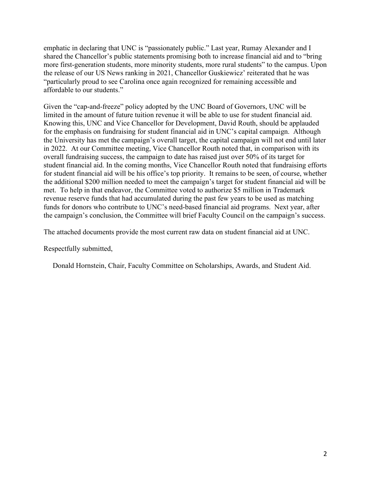emphatic in declaring that UNC is "passionately public." Last year, Rumay Alexander and I shared the Chancellor's public statements promising both to increase financial aid and to "bring more first-generation students, more minority students, more rural students" to the campus. Upon the release of our US News ranking in 2021, Chancellor Guskiewicz' reiterated that he was "particularly proud to see Carolina once again recognized for remaining accessible and affordable to our students."

Given the "cap-and-freeze" policy adopted by the UNC Board of Governors, UNC will be limited in the amount of future tuition revenue it will be able to use for student financial aid. Knowing this, UNC and Vice Chancellor for Development, David Routh, should be applauded for the emphasis on fundraising for student financial aid in UNC's capital campaign. Although the University has met the campaign's overall target, the capital campaign will not end until later in 2022. At our Committee meeting, Vice Chancellor Routh noted that, in comparison with its overall fundraising success, the campaign to date has raised just over 50% of its target for student financial aid. In the coming months, Vice Chancellor Routh noted that fundraising efforts for student financial aid will be his office's top priority. It remains to be seen, of course, whether the additional \$200 million needed to meet the campaign's target for student financial aid will be met. To help in that endeavor, the Committee voted to authorize \$5 million in Trademark revenue reserve funds that had accumulated during the past few years to be used as matching funds for donors who contribute to UNC's need-based financial aid programs. Next year, after the campaign's conclusion, the Committee will brief Faculty Council on the campaign's success.

The attached documents provide the most current raw data on student financial aid at UNC.

Respectfully submitted,

Donald Hornstein, Chair, Faculty Committee on Scholarships, Awards, and Student Aid.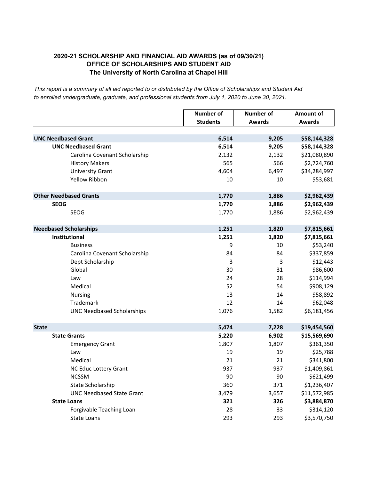## **2020-21 SCHOLARSHIP AND FINANCIAL AID AWARDS (as of 09/30/21) OFFICE OF SCHOLARSHIPS AND STUDENT AID The University of North Carolina at Chapel Hill**

*This report is a summary of all aid reported to or distributed by the Office of Scholarships and Student Aid to enrolled undergraduate, graduate, and professional students from July 1, 2020 to June 30, 2021.*

|                                   | <b>Number of</b> | <b>Number of</b> | <b>Amount of</b> |
|-----------------------------------|------------------|------------------|------------------|
|                                   | <b>Students</b>  | <b>Awards</b>    | <b>Awards</b>    |
|                                   |                  |                  |                  |
| <b>UNC Needbased Grant</b>        | 6,514            | 9,205            | \$58,144,328     |
| <b>UNC Needbased Grant</b>        | 6,514            | 9,205            | \$58,144,328     |
| Carolina Covenant Scholarship     | 2,132            | 2,132            | \$21,080,890     |
| <b>History Makers</b>             | 565              | 566              | \$2,724,760      |
| <b>University Grant</b>           | 4,604            | 6,497            | \$34,284,997     |
| <b>Yellow Ribbon</b>              | 10               | 10               | \$53,681         |
| <b>Other Needbased Grants</b>     | 1,770            | 1,886            | \$2,962,439      |
| <b>SEOG</b>                       | 1,770            | 1,886            | \$2,962,439      |
| <b>SEOG</b>                       | 1,770            | 1,886            | \$2,962,439      |
| <b>Needbased Scholarships</b>     | 1,251            | 1,820            | \$7,815,661      |
| Institutional                     | 1,251            | 1,820            | \$7,815,661      |
| <b>Business</b>                   | 9                | 10               | \$53,240         |
| Carolina Covenant Scholarship     | 84               | 84               | \$337,859        |
| Dept Scholarship                  | 3                | 3                | \$12,443         |
| Global                            | 30               | 31               | \$86,600         |
| Law                               | 24               | 28               | \$114,994        |
| Medical                           | 52               | 54               | \$908,129        |
| <b>Nursing</b>                    | 13               | 14               | \$58,892         |
| Trademark                         | 12               | 14               | \$62,048         |
| <b>UNC Needbased Scholarships</b> | 1,076            | 1,582            | \$6,181,456      |
| <b>State</b>                      | 5,474            | 7,228            | \$19,454,560     |
| <b>State Grants</b>               | 5,220            | 6,902            | \$15,569,690     |
| <b>Emergency Grant</b>            | 1,807            | 1,807            | \$361,350        |
| Law                               | 19               | 19               | \$25,788         |
| Medical                           | 21               | 21               | \$341,800        |
| NC Educ Lottery Grant             | 937              | 937              | \$1,409,861      |
| <b>NCSSM</b>                      | 90               | 90               | \$621,499        |
| State Scholarship                 | 360              | 371              | \$1,236,407      |
| <b>UNC Needbased State Grant</b>  | 3,479            | 3,657            | \$11,572,985     |
| <b>State Loans</b>                | 321              | 326              | \$3,884,870      |
| Forgivable Teaching Loan          | 28               | 33               | \$314,120        |
| State Loans                       | 293              | 293              | \$3,570,750      |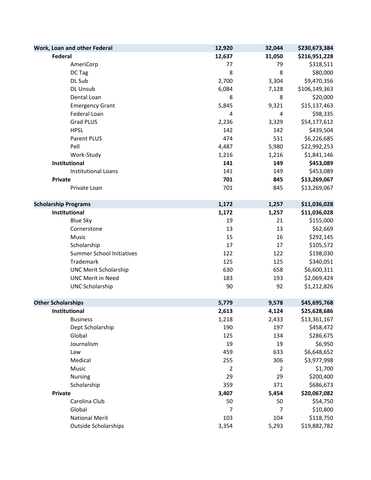| Work, Loan and other Federal     | 12,920 | 32,044         | \$230,673,384 |
|----------------------------------|--------|----------------|---------------|
| <b>Federal</b>                   | 12,637 | 31,050         | \$216,951,228 |
| AmeriCorp                        | 77     | 79             | \$318,511     |
| DC Tag                           | 8      | 8              | \$80,000      |
| DL Sub                           | 2,700  | 3,304          | \$9,470,356   |
| DL Unsub                         | 6,084  | 7,128          | \$106,149,363 |
| Dental Loan                      | 8      | 8              | \$20,000      |
| <b>Emergency Grant</b>           | 5,845  | 9,321          | \$15,137,463  |
| Federal Loan                     | 4      | 4              | \$98,335      |
| <b>Grad PLUS</b>                 | 2,236  | 3,329          | \$54,177,612  |
| <b>HPSL</b>                      | 142    | 142            | \$439,504     |
| Parent PLUS                      | 474    | 531            | \$6,226,685   |
| Pell                             | 4,487  | 5,980          | \$22,992,253  |
| Work-Study                       | 1,216  | 1,216          | \$1,841,146   |
| Institutional                    | 141    | 149            | \$453,089     |
| <b>Institutional Loans</b>       | 141    | 149            | \$453,089     |
| <b>Private</b>                   | 701    | 845            | \$13,269,067  |
| Private Loan                     | 701    | 845            | \$13,269,067  |
| <b>Scholarship Programs</b>      | 1,172  | 1,257          | \$11,036,028  |
| Institutional                    | 1,172  | 1,257          | \$11,036,028  |
| <b>Blue Sky</b>                  | 19     | 21             | \$155,000     |
| Cornerstone                      | 13     | 13             | \$62,669      |
| Music                            | 15     | 16             | \$292,145     |
| Scholarship                      | 17     | 17             | \$105,572     |
| <b>Summer School Initiatives</b> | 122    | 122            | \$198,030     |
| Trademark                        | 125    | 125            | \$340,051     |
| <b>UNC Merit Scholarship</b>     | 630    | 658            | \$6,600,311   |
| <b>UNC Merit in Need</b>         | 183    | 193            | \$2,069,424   |
| <b>UNC Scholarship</b>           | 90     | 92             | \$1,212,826   |
| <b>Other Scholarships</b>        | 5,779  | 9,578          | \$45,695,768  |
| Institutional                    | 2,613  | 4,124          | \$25,628,686  |
| <b>Business</b>                  | 1,218  | 2,433          | \$13,361,167  |
| Dept Scholarship                 | 190    | 197            | \$458,472     |
| Global                           | 125    | 134            | \$286,675     |
| Journalism                       | 19     | 19             | \$6,950       |
| Law                              | 459    | 633            | \$6,648,652   |
| Medical                          | 255    | 306            | \$3,977,998   |
| Music                            | 2      | $\overline{2}$ | \$1,700       |
| <b>Nursing</b>                   | 29     | 29             | \$200,400     |
| Scholarship                      | 359    | 371            | \$686,673     |
| <b>Private</b>                   | 3,407  | 5,454          | \$20,067,082  |
| Carolina Club                    | 50     | 50             | \$54,750      |
| Global                           | 7      | 7              | \$10,800      |
| <b>National Merit</b>            | 103    | 104            | \$118,750     |
| <b>Outside Scholarships</b>      | 3,354  | 5,293          | \$19,882,782  |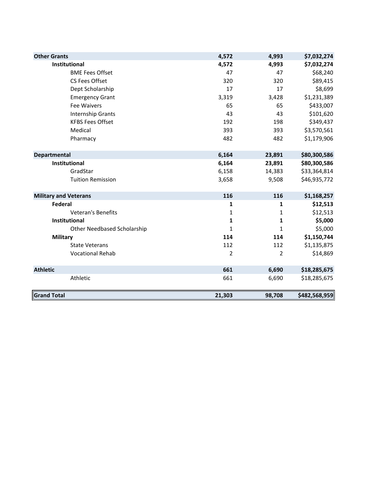| <b>Other Grants</b>                | 4,572  | 4,993          | \$7,032,274   |
|------------------------------------|--------|----------------|---------------|
| Institutional                      | 4,572  | 4,993          | \$7,032,274   |
| <b>BME Fees Offset</b>             | 47     | 47             | \$68,240      |
| CS Fees Offset                     | 320    | 320            | \$89,415      |
| Dept Scholarship                   | 17     | 17             | \$8,699       |
| <b>Emergency Grant</b>             | 3,319  | 3,428          | \$1,231,389   |
| <b>Fee Waivers</b>                 | 65     | 65             | \$433,007     |
| Internship Grants                  | 43     | 43             | \$101,620     |
| <b>KFBS Fees Offset</b>            | 192    | 198            | \$349,437     |
| Medical                            | 393    | 393            | \$3,570,561   |
| Pharmacy                           | 482    | 482            | \$1,179,906   |
| <b>Departmental</b>                | 6,164  | 23,891         | \$80,300,586  |
| Institutional                      | 6,164  | 23,891         | \$80,300,586  |
| GradStar                           | 6,158  | 14,383         | \$33,364,814  |
| <b>Tuition Remission</b>           | 3,658  | 9,508          | \$46,935,772  |
| <b>Military and Veterans</b>       | 116    | 116            | \$1,168,257   |
| Federal                            | 1      | $\mathbf{1}$   | \$12,513      |
| Veteran's Benefits                 | 1      | $\mathbf{1}$   | \$12,513      |
| Institutional                      | 1      | $\mathbf{1}$   | \$5,000       |
| <b>Other Needbased Scholarship</b> | 1      | 1              | \$5,000       |
| <b>Military</b>                    | 114    | 114            | \$1,150,744   |
| <b>State Veterans</b>              | 112    | 112            | \$1,135,875   |
| <b>Vocational Rehab</b>            | 2      | $\overline{2}$ | \$14,869      |
| <b>Athletic</b>                    | 661    | 6,690          | \$18,285,675  |
| Athletic                           | 661    | 6,690          | \$18,285,675  |
| <b>Grand Total</b>                 | 21,303 | 98,708         | \$482,568,959 |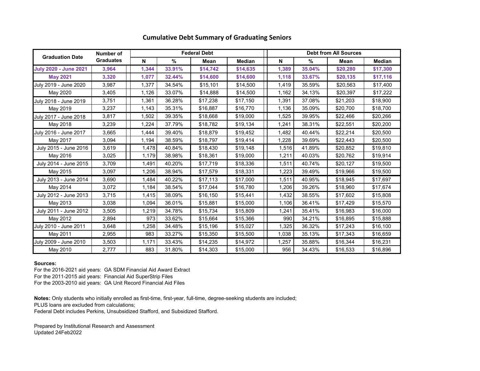|                              | Number of        |       |        | <b>Federal Debt</b> |               | <b>Debt from All Sources</b> |        |             |               |  |  |  |  |  |
|------------------------------|------------------|-------|--------|---------------------|---------------|------------------------------|--------|-------------|---------------|--|--|--|--|--|
| <b>Graduation Date</b>       | <b>Graduates</b> | N     | %      | Mean                | <b>Median</b> | N                            | %      | <b>Mean</b> | <b>Median</b> |  |  |  |  |  |
| <b>July 2020 - June 2021</b> | 3,964            | 1,344 | 33.91% | \$14,742            | \$14,635      | 1,389                        | 35.04% | \$20,280    | \$17,300      |  |  |  |  |  |
| <b>May 2021</b>              | 3,320            | 1,077 | 32.44% | \$14,600            | \$14,600      | 1,118                        | 33.67% | \$20,135    | \$17,116      |  |  |  |  |  |
| July 2019 - June 2020        | 3,987            | 1,377 | 34.54% | \$15,101            | \$14,500      | 1,419                        | 35.59% | \$20,563    | \$17,400      |  |  |  |  |  |
| May 2020                     | 3,405            | 1,126 | 33.07% | \$14,888            | \$14,500      | 1,162                        | 34.13% | \$20,397    | \$17,222      |  |  |  |  |  |
| July 2018 - June 2019        | 3,751            | 1,361 | 36.28% | \$17,238            | \$17,150      | 1,391                        | 37.08% | \$21,203    | \$18,900      |  |  |  |  |  |
| May 2019                     | 3,237            | 1,143 | 35.31% | \$16,887            | \$16,770      | 1,136                        | 35.09% | \$20,700    | \$18,700      |  |  |  |  |  |
| July 2017 - June 2018        | 3,817            | 1,502 | 39.35% | \$18,668            | \$19,000      | 1,525                        | 39.95% | \$22,466    | \$20,266      |  |  |  |  |  |
| May 2018                     | 3,239            | 1,224 | 37.79% | \$18,782            | \$19,134      | 1,241                        | 38.31% | \$22,551    | \$20,200      |  |  |  |  |  |
| July 2016 - June 2017        | 3,665            | 1,444 | 39.40% | \$18,879            | \$19,452      | 1,482                        | 40.44% | \$22,214    | \$20,500      |  |  |  |  |  |
| May 2017                     | 3,094            | 1,194 | 38.59% | \$18,797            | \$19,414      | 1,228                        | 39.69% | \$22,443    | \$20,500      |  |  |  |  |  |
| July 2015 - June 2016        | 3,619            | 1,478 | 40.84% | \$18,430            | \$19,148      | 1,516                        | 41.89% | \$20,852    | \$19,810      |  |  |  |  |  |
| May 2016                     | 3,025            | 1,179 | 38.98% | \$18,361            | \$19,000      | 1,211                        | 40.03% | \$20,762    | \$19,914      |  |  |  |  |  |
| July 2014 - June 2015        | 3,709            | 1,491 | 40.20% | \$17,719            | \$18,336      | 1,511                        | 40.74% | \$20,127    | \$19,500      |  |  |  |  |  |
| May 2015                     | 3,097            | 1,206 | 38.94% | \$17,579            | \$18,331      | 1,223                        | 39.49% | \$19,966    | \$19,500      |  |  |  |  |  |
| July 2013 - June 2014        | 3,690            | 1,484 | 40.22% | \$17,113            | \$17,000      | 1,511                        | 40.95% | \$18,945    | \$17,697      |  |  |  |  |  |
| May 2014                     | 3,072            | 1,184 | 38.54% | \$17,044            | \$16,780      | 1,206                        | 39.26% | \$18,960    | \$17,674      |  |  |  |  |  |
| July 2012 - June 2013        | 3,715            | 1,415 | 38.09% | \$16,150            | \$15,441      | 1,432                        | 38.55% | \$17,602    | \$15,808      |  |  |  |  |  |
| May 2013                     | 3,038            | 1,094 | 36.01% | \$15,881            | \$15,000      | 1,106                        | 36.41% | \$17,429    | \$15,570      |  |  |  |  |  |
| July 2011 - June 2012        | 3,505            | 1,219 | 34.78% | \$15,734            | \$15,809      | 1,241                        | 35.41% | \$16,983    | \$16,000      |  |  |  |  |  |
| May 2012                     | 2,894            | 973   | 33.62% | \$15,664            | \$15,366      | 990                          | 34.21% | \$16,895    | \$15,888      |  |  |  |  |  |
| July 2010 - June 2011        | 3,648            | 1,258 | 34.48% | \$15,196            | \$15,027      | 1,325                        | 36.32% | \$17,243    | \$16,100      |  |  |  |  |  |
| May 2011                     | 2,955            | 983   | 33.27% | \$15,350            | \$15,500      | 1,038                        | 35.13% | \$17,343    | \$16,659      |  |  |  |  |  |
| July 2009 - June 2010        | 3,503            | 1,171 | 33.43% | \$14,235            | \$14,972      | 1,257                        | 35.88% | \$16,344    | \$16,231      |  |  |  |  |  |
| May 2010                     | 2,777            | 883   | 31.80% | \$14,303            | \$15,000      | 956                          | 34.43% | \$16,533    | \$16,896      |  |  |  |  |  |

## **Cumulative Debt Summary of Graduating Seniors**

**Sources:**

For the 2016-2021 aid years: GA SDM Financial Aid Award Extract For the 2011-2015 aid years: Financial Aid SuperStrip Files For the 2003-2010 aid years: GA Unit Record Financial Aid Files

**Notes:** Only students who initially enrolled as first-time, first-year, full-time, degree-seeking students are included; PLUS loans are excluded from calculations; Federal Debt includes Perkins, Unsubsidized Stafford, and Subsidized Stafford.

Prepared by Institutional Research and Assessment Updated 24Feb2022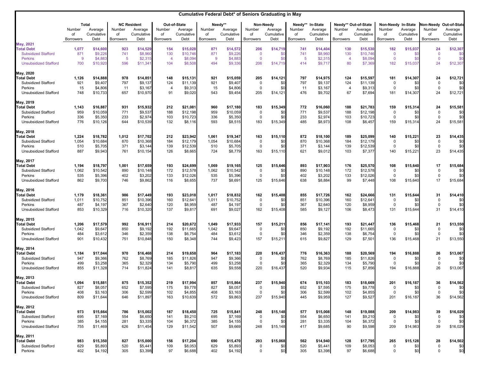|                                                 |                  |                                       |                   |                                             |                  |                                              | Cumulative Federal Debt* of Seniors Graduating in May |                                  |                              |                                    |                         |                                          |                       |                                               |                            |                                             |                                  |                                                 |
|-------------------------------------------------|------------------|---------------------------------------|-------------------|---------------------------------------------|------------------|----------------------------------------------|-------------------------------------------------------|----------------------------------|------------------------------|------------------------------------|-------------------------|------------------------------------------|-----------------------|-----------------------------------------------|----------------------------|---------------------------------------------|----------------------------------|-------------------------------------------------|
|                                                 | Number<br>οf     | <b>Total</b><br>Average<br>Cumulative | Number<br>of      | <b>NC Resident</b><br>Average<br>Cumulative | Number<br>οf     | <b>Out-of-State</b><br>Average<br>Cumulative | Number<br>of                                          | Needy**<br>Average<br>Cumulative | Number<br>of                 | Non-Needy<br>Average<br>Cumulative | Needy**<br>Number<br>οf | <b>In-State</b><br>Average<br>Cumulative | Number<br>of          | Needy** Out-of-State<br>Average<br>Cumulative | Number<br>0f               | Non-Needy In-State<br>Average<br>Cumulative | Number<br>of                     | Non-Needy Out-of-State<br>Average<br>Cumulative |
| <b>May, 2021</b>                                | <b>Borrowers</b> | Debt                                  | <b>Borrowers</b>  | Debt                                        | <b>Borrowers</b> | Debt                                         | <b>Borrowers</b>                                      | Debt                             | <b>Borrowers</b>             | Debt                               | <b>Borrowers</b>        | Debt                                     | <b>Borrowers</b>      | Debt                                          | <b>Borrowers</b>           | Debt                                        | <b>Borrowers</b>                 | Debt                                            |
| <b>Total Debt</b>                               | 1,077            | \$14,600                              | 923               | \$14,529                                    | 154              | \$15,028                                     | 871                                                   | \$14,572                         | 206                          | \$14,719                           | 741                     | \$14,404                                 | 130                   | \$15,530                                      | 182                        | \$15,037                                    | 24                               | \$12,307                                        |
| <b>Subsidized Stafford</b><br><b>Perkins</b>    | 871<br>-9        | \$9,226<br>\$4,883                    | 741<br>$\sqrt{5}$ | \$8,960<br>\$2,315                          | 130<br>-4        | \$10,746<br>\$8,094                          | 871<br>9                                              | \$9,226<br>\$4,883               | $\mathbf{0}$<br>$\mathbf{0}$ | \$C<br>\$C                         | 741<br>-5               | \$8,960<br>\$2,315                       | 130                   | \$10,746<br>\$8,094                           | $\overline{0}$<br>$\Omega$ | \$C<br>\$C                                  | $\overline{0}$<br>$\overline{0}$ | \$ <sub>0</sub><br>\$C                          |
| <b>Unsubsidized Stafford</b>                    | 700              | \$10,920                              | 596               | \$11,341                                    | 104              | \$8,508                                      | 494                                                   | \$9,336                          | 206                          | \$14,719                           | 414                     | \$9,717                                  | 80                    | \$7,369                                       | 182                        | \$15,037                                    | 24                               | \$12,307                                        |
| May, 2020                                       |                  |                                       |                   |                                             |                  |                                              |                                                       |                                  |                              |                                    |                         |                                          |                       |                                               |                            |                                             |                                  |                                                 |
| <b>Total Debt</b>                               | 1,126            | \$14,888                              | 978               | \$14,851                                    | 148              | \$15,131                                     | 921                                                   | \$15,059                         | 205                          | \$14,121                           | 797                     | \$14,975                                 | 124                   | \$15,597                                      | 181                        | \$14,307                                    | 24                               | \$12,721                                        |
| <b>Subsidized Stafford</b><br>Perkins           | 921<br>15        | \$9,407<br>\$4,806                    | 797<br>11         | \$9,137<br>\$3,167                          | 124              | \$11,139<br>\$9,313                          | 921<br>15                                             | \$9,407<br>\$4,806               |                              | \$0<br>\$0                         | 797<br>11               | \$9,137<br>\$3,167                       | 124<br>$\overline{4}$ | \$11,139<br>\$9,313                           | 0<br>0                     | \$0<br>\$0                                  | $\overline{0}$<br>$\overline{0}$ | \$0<br>\$0                                      |
| <b>Unsubsidized Stafford</b>                    | 748              | \$10,733                              | 657               | \$10,970                                    | 91               | \$9,020                                      | 543                                                   | \$9,454                          | 205                          | \$14,121                           | 476                     | \$9,702                                  | 67                    | \$7,694                                       | 181                        | \$14,307                                    | 24                               | \$12,721                                        |
| May, 2019                                       |                  |                                       |                   |                                             |                  |                                              |                                                       |                                  |                              |                                    |                         |                                          |                       |                                               |                            |                                             |                                  |                                                 |
| <b>Total Debt</b>                               | 1,143            | \$16,887                              | 931               | \$15,932                                    | 212              | \$21,081                                     | 960                                                   | \$17,180                         | 183                          | \$15,349                           | 772                     | \$16,060                                 | 188                   | \$21,783                                      | 159                        | \$15,314                                    | 24                               | \$15,581                                        |
| <b>Subsidized Stafford</b><br>Perkins           | 959<br>336       | \$10,059<br>\$5,350                   | 771<br>233        | \$9,537<br>\$2,974                          | 188<br>103       | \$12,198<br>\$10,723                         | 959<br>336                                            | \$10,059<br>\$5,350              | 0                            | \$0<br>\$0                         | 771<br>233              | \$9,537<br>\$2,974                       | 188<br>103            | \$12,198<br>\$10,723                          | -0<br>0                    | \$0<br>\$0                                  | 0<br>$\mathbf{0}$                | \$0<br>\$0                                      |
| <b>Unsubsidized Stafford</b>                    | 776              | \$10,126                              | 644               | \$10,539                                    | 132              | \$8,116                                      | 593                                                   | \$8,515                          | 183                          | \$15,349                           | 485                     | \$8,973                                  | 108                   | \$6,457                                       | 159                        | \$15,314                                    | 24                               | \$15,581                                        |
| May, 2018                                       |                  |                                       |                   |                                             |                  |                                              |                                                       |                                  |                              |                                    |                         |                                          |                       |                                               |                            |                                             |                                  |                                                 |
| <b>Total Debt</b>                               | 1,224            | \$18,782                              | 1,012             | \$17,702                                    | 212              | \$23,942                                     | 1,061                                                 | \$19,347                         | 163                          | \$15,110                           | 872                     | \$18,100                                 | 189                   | \$25,099                                      | 140                        | \$15,221                                    | 23                               | \$14,435                                        |
| <b>Subsidized Stafford</b><br>Perkins           | 1,054            | \$10,684                              | 870               | \$10,368                                    | 184<br>139       | \$12,179                                     | 1,054<br>510                                          | \$10,684                         | 0<br>$\Omega$                | \$0<br>\$0                         | 870                     | \$10,368                                 | 184                   | \$12,179                                      | - 0<br>$\Omega$            | \$0                                         | $\overline{0}$<br>$\mathbf 0$    | \$0                                             |
| <b>Unsubsidized Stafford</b>                    | 510<br>887       | \$5,705<br>\$9,943                    | 371<br>761        | \$3,144<br>\$10,154                         | 126              | \$12,539<br>\$8,665                          | 724                                                   | \$5,705<br>\$8,779               | 163                          | \$15,110                           | 371<br>621              | \$3,144<br>\$9,012                       | 139<br>103            | \$12,539<br>\$7,377                           | 140                        | \$0<br>\$15,221                             | 23                               | \$0<br>\$14,435                                 |
| May, 2017                                       |                  |                                       |                   |                                             |                  |                                              |                                                       |                                  |                              |                                    |                         |                                          |                       |                                               |                            |                                             |                                  |                                                 |
| <b>Total Debt</b>                               | 1,194            | \$18,797                              | 1,001             | \$17,659                                    | 193              | \$24,699                                     | 1,069                                                 | \$19,165                         | 125                          | \$15,646                           | 893                     | \$17,903                                 | 176                   | \$25,570                                      | 108                        | \$15,640                                    | 17                               | \$15,684                                        |
| <b>Subsidized Stafford</b>                      | 1,062            | \$10,542                              | 890               | \$10,148                                    | 172              | \$12,578                                     | 1,062                                                 | \$10,542                         |                              | \$0                                | 890                     | \$10,148                                 | 172                   | \$12,578                                      | -0                         | \$0                                         | $\boldsymbol{0}$                 | \$0                                             |
| Perkins<br><b>Unsubsidized Stafford</b>         | 535<br>862       | \$5,396<br>\$9,700                    | 402<br>746        | \$3,202<br>\$9,862                          | 133<br>116       | \$12,026<br>\$8,655                          | 535<br>737                                            | \$5,396<br>\$8,691               | 125                          | \$0<br>\$15,646                    | 402<br>638              | \$3,202<br>\$8,884                       | 133<br>99             | \$12,026<br>\$7,448                           | 0<br>108                   | \$0<br>\$15,640                             | $\overline{0}$<br>17             | \$0<br>\$15,684                                 |
| <b>May, 2016</b>                                |                  |                                       |                   |                                             |                  |                                              |                                                       |                                  |                              |                                    |                         |                                          |                       |                                               |                            |                                             |                                  |                                                 |
| <b>Total Debt</b>                               | 1,179            | \$18,361                              | 986               | \$17,449                                    | 193              | \$23,018                                     | 1,017                                                 | \$18,832                         | 162                          | \$15,408                           | 855                     | \$17,726                                 | 162                   | \$24,666                                      | 131                        | \$15,644                                    | 31                               | \$14,410                                        |
| <b>Subsidized Stafford</b>                      | 1,011            | \$10,752                              | 851               | \$10,396                                    | 160              | \$12,641                                     | 1,011                                                 | \$10,752                         |                              | \$0                                | 851                     | \$10,396                                 | 160                   | \$12,641                                      | -0                         | \$0                                         | $\mathbf 0$                      | \$0                                             |
| Perkins<br><b>Unsubsidized Stafford</b>         | 487<br>853       | \$4,197<br>\$10,329                   | 367<br>716        | \$2,640<br>\$10,320                         | 120<br>137       | \$8,959<br>\$9,817                           | 487<br>691                                            | \$4,197<br>\$9,027               | 162                          | \$0<br>\$15,408                    | 367<br>585              | \$2,640<br>\$9,127                       | 120<br>106            | \$8,959<br>\$8,473                            | 0<br>131                   | \$0<br>\$15,644                             | $\overline{0}$<br>31             | \$0<br>\$14,410                                 |
|                                                 |                  |                                       |                   |                                             |                  |                                              |                                                       |                                  |                              |                                    |                         |                                          |                       |                                               |                            |                                             |                                  |                                                 |
| May, 2015<br><b>Total Debt</b>                  | 1,206            | \$17,579                              | 992               | \$16,911                                    | 214              | \$20,672                                     | 1,049                                                 | \$17,933                         | 157                          | \$15,211                           | 856                     | \$17,141                                 | 193                   | \$21,447                                      | 136                        | \$15,468                                    | 21                               | \$13,550                                        |
| Subsidized Stafford                             | 1,042            | \$9,647                               | 850               | \$9,192                                     | 192              | \$11,665                                     | 1,042                                                 | \$9,647                          |                              | \$0                                | 850                     | \$9,192                                  | 192                   | \$11,665                                      | -0                         | \$0                                         | $\mathbf 0$                      | \$0                                             |
| Perkins                                         | 484              | \$3,612                               | 346               | \$2,359                                     | 138              | \$6,754                                      | 484                                                   | \$3,612                          |                              | \$0                                | 346                     | \$2,359                                  | 138                   | \$6,754                                       | 0                          | \$0                                         | $\overline{0}$                   | \$0                                             |
| <b>Unsubsidized Stafford</b>                    | 901              | \$10,432                              | 751               | \$10,848                                    | 150              | \$8,348                                      | 744                                                   | \$9,423                          | 157                          | \$15,211                           | 615                     | \$9,827                                  | 129                   | \$7,501                                       | 136                        | \$15,468                                    | 21                               | \$13,550                                        |
| May, 2014                                       |                  |                                       |                   |                                             |                  |                                              |                                                       |                                  |                              |                                    |                         |                                          |                       |                                               |                            |                                             |                                  |                                                 |
| <b>Total Debt</b><br><b>Subsidized Stafford</b> | 1,184<br>947     | \$17,044<br>\$9,366                   | 970<br>762        | \$16,468<br>\$8,769                         | 214<br>185       | \$19,658<br>\$11,826                         | 964<br>947                                            | \$17,183<br>\$9,366              | 220<br>0                     | \$16,437<br>\$0                    | 776<br>762              | \$16,363<br>\$8,769                      | 188<br>185            | \$20,569<br>\$11,826                          | 194<br>-0                  | \$16,888<br>\$0                             | 26<br>$\mathbf 0$                | \$13,067<br>\$0                                 |
| Perkins                                         | 499              | \$3,258                               | 365               | \$2,329                                     | 134              | \$5,790                                      | 499                                                   | \$3,258                          | $\Omega$                     | \$0                                | 365                     | \$2,329                                  | 134                   | \$5,790                                       | 0                          | \$0                                         | $\mathbf{0}$                     | \$0                                             |
| <b>Unsubsidized Stafford</b>                    | 855              | \$11,328                              | 714               | \$11,824                                    | 141              | \$8,817                                      | 635                                                   | \$9,558                          | 220                          | \$16,437                           | 520                     | \$9,934                                  | 115                   | \$7,856                                       | 194                        | \$16,888                                    | 26                               | \$13,067                                        |
| May, 2013                                       |                  |                                       |                   |                                             |                  |                                              |                                                       |                                  |                              |                                    |                         |                                          |                       |                                               |                            |                                             |                                  |                                                 |
| <b>Total Debt</b>                               | 1,094            | \$15,881                              | 875               | \$15,352                                    | 219              | \$17,994                                     | 857                                                   | \$15,864                         | 237                          | \$15,940                           | 674                     | \$15,103                                 | 183                   | \$18,669                                      | 201                        | \$16,187                                    | 36                               | \$14,562                                        |
| <b>Subsidized Stafford</b><br>Perkins           | 827<br>408       | \$8,057<br>\$3,163                    | 652<br>306        | \$7,595<br>\$2,599                          | 175<br>102       | \$9,778<br>\$4,855                           | 827<br>408                                            | \$8,057<br>\$3,163               | $\Omega$                     | \$0<br>\$0                         | 652<br>306              | \$7,595<br>\$2,599                       | 175<br>102            | \$9,778<br>\$4,855                            | 0<br>$\overline{0}$        | \$0<br>\$0                                  | $\overline{0}$<br>$\mathbf 0$    | \$0<br>\$0                                      |
| <b>Unsubsidized Stafford</b>                    | 809              | \$11,644                              | 646               | \$11,897                                    | 163              | \$10,639                                     | 572                                                   | \$9,863                          | 237                          | \$15,940                           | 445                     | \$9,959                                  | 127                   | \$9,527                                       | 201                        | \$16,187                                    | 36                               | \$14,562                                        |
| May, 2012                                       |                  |                                       |                   |                                             |                  |                                              |                                                       |                                  |                              |                                    |                         |                                          |                       |                                               |                            |                                             |                                  |                                                 |
| <b>Total Debt</b>                               | 973              | \$15,664                              | 786               | \$15,002                                    | 187              | \$18,450                                     | 725                                                   | \$15,841                         | 248                          | \$15,148                           | 577                     | \$15,008                                 | 148                   | \$19,088                                      | 209                        | \$14,983                                    | 39                               | \$16,029                                        |
| <b>Subsidized Stafford</b>                      | 695              | \$7,169                               | 554               | \$6,650                                     | 141              | \$9,210                                      | 695                                                   | \$7,169                          |                              | \$0                                | 554                     | \$6,650                                  | 141                   | \$9,210                                       | 0                          | \$0                                         | $\overline{0}$                   | \$0                                             |
| Perkins<br><b>Unsubsidized Stafford</b>         | 385<br>755       | \$4,155<br>\$11,469                   | 281<br>626        | \$3,335<br>\$11,454                         | 104<br>129       | \$6,372<br>\$11,542                          | 385<br>507                                            | \$4,155<br>\$9,669               | 0<br>248                     | \$0<br>\$15,148                    | 281<br>417              | \$3,335<br>\$9,685                       | 104<br>90             | \$6,372<br>\$9,598                            | 0<br>209                   | \$0<br>\$14,983                             | $\mathbf 0$<br>39                | \$0<br>\$16,029                                 |
| May, 2011                                       |                  |                                       |                   |                                             |                  |                                              |                                                       |                                  |                              |                                    |                         |                                          |                       |                                               |                            |                                             |                                  |                                                 |
| <b>Total Debt</b>                               | 983              | \$15,350                              | 827               | \$15,000                                    | 156              | \$17,204                                     | 690                                                   | \$15,470                         | 293                          | \$15,068                           | 562                     | \$14,940                                 | 128                   | \$17,795                                      | 265                        | \$15,128                                    | 28                               | \$14,502                                        |
| <b>Subsidized Stafford</b>                      | 629              | \$5,893                               | 520               | \$5,441                                     | 109              | \$8,053                                      | 629                                                   | \$5,893                          |                              | \$0                                | 520                     | \$5,441                                  | 109                   | \$8,053                                       | -0                         | \$0                                         | $\overline{0}$                   | \$0                                             |
| Perkins                                         | 402              | \$4,192                               | 305               | \$3,398                                     | 97               | \$6,688                                      | 402                                                   | \$4,192                          | $\Omega$                     | \$0                                | 305                     | \$3,398                                  | 97                    | \$6,688                                       | $\Omega$                   | \$0                                         | $\Omega$                         | \$0                                             |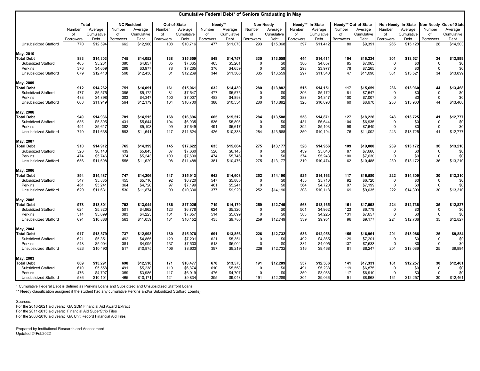|                                       |                         |                    |                         |                    |                         |                     | <b>Cumulative Federal Debt* of Seniors Graduating in May</b> |                      |                         |                  |                                          |                     |                        |                    |                         |                    |                        |                        |
|---------------------------------------|-------------------------|--------------------|-------------------------|--------------------|-------------------------|---------------------|--------------------------------------------------------------|----------------------|-------------------------|------------------|------------------------------------------|---------------------|------------------------|--------------------|-------------------------|--------------------|------------------------|------------------------|
|                                       | <b>Total</b>            |                    |                         | <b>NC Resident</b> |                         | <b>Out-of-State</b> |                                                              | Needy**<br>Non-Needy |                         |                  | Needy** In-State<br>Needy** Out-of-State |                     |                        |                    |                         | Non-Needy In-State |                        | Non-Needy Out-of-State |
|                                       | Number                  | Average            | Number                  | Average            | Number                  | Average             | Number                                                       | Average              | Number                  | Average          | Number                                   | Average             | Number                 | Average            | Number                  | Average            | Number                 | Average                |
|                                       | оf                      | Cumulative         | of                      | Cumulative         | οf                      | Cumulative          | οf                                                           | Cumulative           | of                      | Cumulative       | of                                       | Cumulative          | of                     | Cumulative         | οf                      | Cumulative         | of                     | Cumulative             |
| <b>Unsubsidized Stafford</b>          | <b>Borrowers</b><br>770 | Debt<br>\$12,594   | <b>Borrowers</b><br>662 | Debt<br>\$12,900   | <b>Borrowers</b><br>108 | Debt<br>\$10,716    | <b>Borrowers</b><br>477                                      | Debt<br>\$11,07      | <b>Borrowers</b><br>293 | Debt<br>\$15,068 | <b>Borrowers</b><br>397                  | Debt<br>\$11,412    | <b>Borrowers</b><br>80 | Debt<br>\$9,391    | <b>Borrowers</b><br>265 | Debt<br>\$15,128   | <b>Borrowers</b><br>28 | Debt<br>\$14,503       |
|                                       |                         |                    |                         |                    |                         |                     |                                                              |                      |                         |                  |                                          |                     |                        |                    |                         |                    |                        |                        |
| May, 2010                             |                         |                    |                         |                    |                         |                     |                                                              |                      |                         |                  |                                          |                     |                        |                    |                         |                    |                        |                        |
| <b>Total Debt</b>                     | 883                     | \$14,303           | 745                     | \$14,052           | 138                     | \$15,659            | 548                                                          | \$14,757             | 335                     | \$13,559         | 444                                      | \$14,411            | 104                    | \$16,234           | 301                     | \$13,521           | 34                     | \$13,899               |
| <b>Subsidized Stafford</b><br>Perkins | 465<br>376              | \$5,261<br>\$4,659 | 380<br>298              | \$4,857<br>\$3,977 | 85<br>78                | \$7,065<br>\$7,265  | 465<br>376                                                   | \$5,261<br>\$4,659   |                         | \$0<br>\$0       | 380<br>298                               | \$4,857<br>\$3,977  | 85<br>78               | \$7,065<br>\$7,265 | $\overline{0}$          | \$0<br>\$0         | $\boldsymbol{0}$<br>0  | \$0<br>\$0             |
| <b>Unsubsidized Stafford</b>          | 679                     | \$12,418           | 598                     | \$12,438           | 81                      | \$12,269            | 344                                                          | \$11,306             | 335                     | \$13,559         | 297                                      | \$11,340            | 47                     | \$11,090           | 301                     | \$13,521           | 34                     | \$13,899               |
|                                       |                         |                    |                         |                    |                         |                     |                                                              |                      |                         |                  |                                          |                     |                        |                    |                         |                    |                        |                        |
| May, 2009<br><b>Total Debt</b>        | 912                     | \$14,262           | 751                     | \$14,091           | 161                     | \$15,061            | 632                                                          | \$14,430             | 280                     | \$13,882         | 515                                      |                     | 117                    | \$15,659           | 236                     | \$13,960           |                        | \$13,468               |
| <b>Subsidized Stafford</b>            |                         |                    |                         | \$5,172            |                         |                     | 477                                                          |                      |                         |                  |                                          | \$14,151<br>\$5,172 |                        |                    |                         |                    | 44                     |                        |
| Perkins                               | 477<br>483              | \$5,575<br>\$4,898 | 396<br>383              | \$4,347            | 81<br>100               | \$7,547<br>\$7,007  | 483                                                          | \$5,575<br>\$4,898   | $\Omega$                | \$0<br>\$0       | 396<br>383                               | \$4,347             | 81<br>100              | \$7,547<br>\$7,007 | -0<br>$\overline{0}$    | \$0<br>\$0         | 0<br>$\mathbf 0$       | \$0<br>\$0             |
| <b>Unsubsidized Stafford</b>          | 668                     | \$11,949           | 564                     | \$12,179           | 104                     | \$10,700            | 388                                                          | \$10,554             | 280                     | \$13,882         | 328                                      | \$10,898            | 60                     | \$8,670            | 236                     | \$13,960           | 44                     | \$13,468               |
|                                       |                         |                    |                         |                    |                         |                     |                                                              |                      |                         |                  |                                          |                     |                        |                    |                         |                    |                        |                        |
| May, 2008                             |                         |                    |                         |                    |                         |                     |                                                              |                      |                         |                  |                                          |                     |                        |                    |                         |                    |                        |                        |
| <b>Total Debt</b>                     | 949                     | \$14,936           | 781                     | \$14,515           | 168                     | \$16,896            | 665                                                          | \$15,512             | 284                     | \$13,588         | 538                                      | \$14,871            | 127                    | \$18,226           | 243                     | \$13,725           | 41                     | \$12,777               |
| <b>Subsidized Stafford</b>            | 535                     | \$5,895            | 431                     | \$5,644            | 104                     | \$6,935             | 535                                                          | \$5,895              |                         | \$0              | 431                                      | \$5,644             | 104                    | \$6,935            | 0                       | \$0                | 0                      | \$0                    |
| Perkins                               | 491                     | \$5,617            | 392                     | \$5,103            | 99                      | \$7,649             | 491                                                          | \$5,617              |                         | \$0              | 392                                      | \$5,103             | 99                     | \$7,649            | $\mathbf{0}$            | \$0                | $\mathbf 0$            | \$0                    |
| <b>Unsubsidized Stafford</b>          | 710                     | \$11,638           | 593                     | \$11,641           | 117                     | \$11,624            | 426                                                          | \$10,338             | 284                     | \$13,588         | 350                                      | \$10,194            | 76                     | \$11,002           | 243                     | \$13,725           | 41                     | \$12,777               |
| May, 2007                             |                         |                    |                         |                    |                         |                     |                                                              |                      |                         |                  |                                          |                     |                        |                    |                         |                    |                        |                        |
| <b>Total Debt</b>                     | 910                     | \$14,912           | 765                     | \$14,399           | 145                     | \$17,622            | 635                                                          | \$15,664             | 275                     | \$13,177         | 526                                      | \$14,956            | 109                    | \$19,080           | 239                     | \$13,172           | 36                     | \$13,210               |
| <b>Subsidized Stafford</b>            | 526                     | \$6,143            | 439                     | \$5,843            | 87                      | \$7,660             | 526                                                          | \$6,143              | 0                       | \$0              | 439                                      | \$5,843             | 87                     | \$7,660            | -0                      | \$0                | $\overline{0}$         | \$0                    |
| Perkins                               | 474                     | \$5,746            | 374                     | \$5,243            | 100                     | \$7,630             | 474                                                          | \$5,746              | $\Omega$                | \$0              | 374                                      | \$5,243             | 100                    | \$7,630            | $\overline{0}$          | \$0                | $\overline{0}$         | \$0                    |
| <b>Unsubsidized Stafford</b>          | 656                     | \$11,608           | 558                     | \$11,629           | 98                      | \$11,488            | 381                                                          | \$10,476             | 275                     | \$13,177         | 319                                      | \$10,474            | 62                     | \$10,488           | 239                     | \$13,172           | 36                     | \$13,210               |
| <b>May, 2006</b>                      |                         |                    |                         |                    |                         |                     |                                                              |                      |                         |                  |                                          |                     |                        |                    |                         |                    |                        |                        |
| <b>Total Debt</b>                     | 894                     | \$14,487           | 747                     | \$14,206           | 147                     | \$15,913            | 642                                                          | \$14,603             | 252                     | \$14,190         | 525                                      | \$14,163            | 117                    | \$16,580           | 222                     | \$14,309           | 30                     | \$13,310               |
| <b>Subsidized Stafford</b>            | 547                     | \$5,885            | 455                     | \$5,716            | 92                      | \$6,720             | 547                                                          | \$5,885              | 0                       | \$0              | 455                                      | \$5,716             | 92                     | \$6,720            | 0                       | \$0                | 0                      | \$0                    |
| Perkins                               | 461                     | \$5,241            | 364                     | \$4,720            | 97                      | \$7,199             | 461                                                          | \$5,241              | $\mathbf 0$             | \$0              | 364                                      | \$4,720             | 97                     | \$7,199            | $\mathbf 0$             | \$0                | $\mathbf 0$            | \$0                    |
| <b>Unsubsidized Stafford</b>          | 629                     | \$11,631           | 530                     | \$11,874           | 99                      | \$10,330            | 377                                                          | \$9,920              | 252                     | \$14,190         | 308                                      | \$10,118            | 69                     | \$9,035            | 222                     | \$14,309           | 30                     | \$13,310               |
| May, 2005                             |                         |                    |                         |                    |                         |                     |                                                              |                      |                         |                  |                                          |                     |                        |                    |                         |                    |                        |                        |
| <b>Total Debt</b>                     | 978                     | \$13,801           | 792                     | \$13,044           | 186                     | \$17,025            | 719                                                          | \$14,179             | 259                     | \$12,749         | 568                                      | \$13,165            | 151                    | \$17,998           | 224                     | \$12,736           | 35                     | \$12,827               |
| <b>Subsidized Stafford</b>            | 624                     | \$5,320            | 501                     | \$4,962            | 123                     | \$6,778             | 624                                                          | \$5,320              | 0                       | \$0              | 501                                      | \$4,962             | 123                    | \$6,778            | -0                      | \$0                | $\mathbf 0$            | \$0                    |
| Perkins                               | 514                     | \$5,099            | 383                     | \$4,225            | 131                     | \$7,657             | 514                                                          | \$5,099              | $\Omega$                | \$0              | 383                                      | \$4,225             | 131                    | \$7,657            | $\Omega$                | \$0                | $\mathbf 0$            | \$0                    |
| <b>Unsubsidized Stafford</b>          | 694                     | \$10,888           | 563                     | \$11,059           | 131                     | \$10,152            | 435                                                          | \$9,780              | 259                     | \$12,749         | 339                                      | \$9,951             | 96                     | \$9,177            | 224                     | \$12,736           | 35                     | \$12,827               |
| May, 2004                             |                         |                    |                         |                    |                         |                     |                                                              |                      |                         |                  |                                          |                     |                        |                    |                         |                    |                        |                        |
| <b>Total Debt</b>                     | 917                     | \$13,579           | 737                     | \$12,993           | 180                     | \$15,978            | 691                                                          | \$13,856             | 226                     | \$12,732         | 536                                      | \$12,958            | 155                    | \$16,961           | 201                     | \$13,086           | 25                     | \$9,884                |
| <b>Subsidized Stafford</b>            | 621                     | \$5,351            | 492                     | \$4,865            | 129                     | \$7,201             | 621                                                          | \$5,351              |                         | \$0              | 492                                      | \$4,865             | 129                    | \$7,201            |                         | \$0                | $\mathbf 0$            | \$0                    |
| Perkins                               | 518                     | \$5,004            | 381                     | \$4,095            | 137                     | \$7,533             | 518                                                          | \$5,004              | 0                       | \$0              | 381                                      | \$4,095             | 137                    | \$7,533            | 0                       | \$0                | $\mathbf 0$            | \$0                    |
| <b>Unsubsidized Stafford</b>          | 623                     | \$10,493           | 517                     | \$10,875           | 106                     | \$8,633             | 397                                                          | \$9,219              | 226                     | \$12,732         | 316                                      | \$9,468             | 81                     | \$8,247            | 201                     | \$13,086           | 25                     | \$9,884                |
| May, 2003                             |                         |                    |                         |                    |                         |                     |                                                              |                      |                         |                  |                                          |                     |                        |                    |                         |                    |                        |                        |
| <b>Total Debt</b>                     | 869                     | \$13,291           | 698                     | \$12,510           | 171                     | \$16,477            | 678                                                          | \$13,573             | 191                     | \$12,289         | 537                                      | \$12,586            | 141                    | \$17,331           | 161                     | \$12,257           | 30                     | \$12,461               |
| <b>Subsidized Stafford</b>            | 610                     | \$5,558            | 491                     | \$5,238            | 119                     | \$6,874             | 610                                                          | \$5,558              | 0                       | \$0              | 491                                      | \$5,238             | 119                    | \$6,875            | - 0                     | \$0                | $\boldsymbol{0}$       | \$0                    |
| Perkins                               | 476                     | \$4,707            | 359                     | \$3,985            | 117                     | \$6,919             | 476                                                          | \$4,707              |                         | \$0              | 359                                      | \$3,986             | 117                    | \$6,919            | 0                       | \$0                | $\Omega$               | \$0                    |
| <b>Unsubsidized Stafford</b>          | 586                     | \$10,101           | 465                     | \$10,171           | 121                     | \$9,834             | 395                                                          | \$9,043              | 191                     | \$12,289         | 304                                      | \$9,066             | 91                     | \$8,968            | 161                     | \$12,257           | 30                     | \$12,461               |

\* Cumulative Federal Debt is defined as Perkins Loans and Subsidized and Unsubsidized Stafford Loans,

Prepared by Institutional Research and Assessment Updated 24Feb2022

Sources:

For the 2016-2021 aid years: GA SDM Financial Aid Award Extract For the 2011-2015 aid years: Financial Aid SuperStrip Files For the 2003-2010 aid years: GA Unit Record Financial Aid Files

\*\* Needy classification assigned if the student had any cumulative Perkins and/or Subsidized Stafford Loan(s).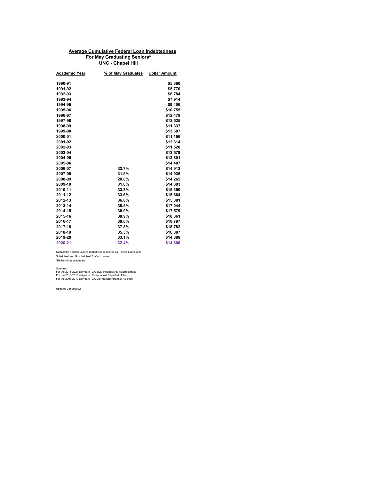| <b>Academic Year</b> | % of May Graduates | <b>Dollar Amount</b> |
|----------------------|--------------------|----------------------|
|                      |                    |                      |
| 1990-91              |                    | \$5,360              |
| 1991-92              |                    | \$5,770              |
| 1992-93              |                    | \$6,784              |
| 1993-94              |                    | \$7,914              |
| 1994-95              |                    | \$9,406              |
| 1995-96              |                    | \$10,755             |
| 1996-97              |                    | \$12,478             |
| 1997-98              |                    | \$12,525             |
| 1998-99              |                    | \$11,337             |
| 1999-00              |                    | \$13,687             |
| 2000-01              |                    | \$11,156             |
| 2001-02              |                    | \$12,314             |
| 2002-03              |                    | \$11,520             |
| 2003-04              |                    | \$13,579             |
| 2004-05              |                    | \$13,801             |
| 2005-06              |                    | \$14,487             |
| 2006-07              | 33.7%              | \$14,912             |
| 2007-08              | 31.5%              | \$14,936             |
| 2008-09              | 28.8%              | \$14,262             |
| 2009-10              | 31.8%              | \$14,303             |
| 2010-11              | 33.3%              | \$15,350             |
| 2011-12              | 33.6%              | \$15,664             |
| 2012-13              | 36.0%              | \$15,881             |
| 2013-14              | 38.5%              | \$17,044             |
| 2014-15              | 38.9%              | \$17,579             |
| 2015-16              | 38.9%              | \$18,361             |
| 2016-17              | 38.6%              | \$18,797             |
| 2017-18              | 37.8%              | \$18,782             |
| 2018-19              | 35.3%              | \$16,887             |
| 2019-20              | 33.1%              | \$14,888             |
| 2020-21              | 32.4%              | \$14,600             |

Cumulative Federal Loan Indebtedness is defined as Perkins Loans and Subsidized and Unsubsidized Stafford Loans. \*Reflects May graduates

Sources:

# **Average Cumulative Federal Loan Indebtedness For May Graduating Seniors\* UNC - Chapel Hill**

For the 2016-2021 aid years: GA SDM Financial Aid Award Extract For the 2011-2015 aid years: Financial Aid SuperStrip Files For the 2003-2010 aid years: GA Unit Record Financial Aid Files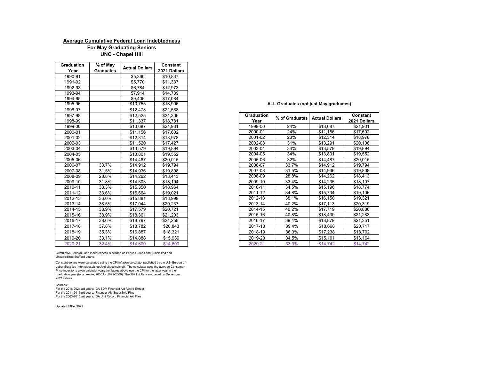| <b>Graduation</b> | % of May         | <b>Actual Dollars</b> | <b>Constant</b> |
|-------------------|------------------|-----------------------|-----------------|
| Year              | <b>Graduates</b> |                       | 2021 Dollars    |
| 1990-91           |                  | \$5,360               | \$10,837        |
| 1991-92           |                  | \$5,770               | \$11,337        |
| 1992-93           |                  | \$6,784               | \$12,973        |
| 1993-94           |                  | \$7,914               | \$14,739        |
| 1994-95           |                  | \$9,406               | \$17,084        |
| 1995-96           |                  | \$10,755              | \$18,906        |
| 1996-97           |                  | \$12,478              | \$21,568        |
| 1997-98           |                  | \$12,525              | \$21,306        |
| 1998-99           |                  | \$11,337              | \$18,781        |
| 1999-00           |                  | \$13,687              | \$21,931        |
| 2000-01           |                  | \$11,156              | \$17,602        |
| 2001-02           |                  | \$12,314              | \$18,978        |
| 2002-03           |                  | \$11,520              | \$17,427        |
| 2003-04           |                  | \$13,579              | \$19,894        |
| 2004-05           |                  | \$13,801              | \$19,552        |
| 2005-06           |                  | \$14,487              | \$20,015        |
| 2006-07           | 33.7%            | \$14,912              | \$19,794        |
| 2007-08           | 31.5%            | \$14,936              | \$19,808        |
| 2008-09           | 28.8%            | \$14,262              | \$18,413        |
| 2009-10           | 31.8%            | \$14,303              | \$18,194        |
| 2010-11           | 33.3%            | \$15,350              | \$18,964        |
| 2011-12           | 33.6%            | \$15,664              | \$19,021        |
| 2012-13           | 36.0%            | \$15,881              | \$18,999        |
| 2013-14           | 38.5%            | \$17,044              | \$20,237        |
| 2014-15           | 38.9%            | \$17,579              | \$20,721        |
| 2015-16           | 38.9%            | \$18,361              | \$21,203        |
| 2016-17           | 38.6%            | \$18,797              | \$21,258        |
| 2017-18           | 37.8%            | \$18,782              | \$20,843        |
| 2018-19           | 35.3%            | \$16,887              | \$18,321        |
| 2019-20           | 33.1%            | \$14,888              | \$15,936        |
| 2020-21           | 32.4%            | \$14,600              | \$14,600        |

| 1997-98 |       | \$12,525 | \$21,306 | <b>Graduation</b><br>% of Graduates | <b>Actual Dollars</b> | <b>Constant</b> |
|---------|-------|----------|----------|-------------------------------------|-----------------------|-----------------|
| 1998-99 |       | \$11,337 | \$18,781 | Year                                |                       | 2021 Dollars    |
| 1999-00 |       | \$13,687 | \$21,931 | 1999-00<br>24%                      | \$13,687              | \$21,931        |
| 2000-01 |       | \$11,156 | \$17,602 | 24%<br>2000-01                      | \$11,156              | \$17,602        |
| 2001-02 |       | \$12,314 | \$18,978 | 23%<br>2001-02                      | \$12,314              | \$18,978        |
| 2002-03 |       | \$11,520 | \$17,427 | 2002-03<br>31%                      | \$13,291              | \$20,106        |
| 2003-04 |       | \$13,579 | \$19,894 | 34%<br>2003-04                      | \$13,579              | \$19,894        |
| 2004-05 |       | \$13,801 | \$19,552 | 34%<br>2004-05                      | \$13,801              | \$19,552        |
| 2005-06 |       | \$14,487 | \$20,015 | 32%<br>2005-06                      | \$14,487              | \$20,015        |
| 2006-07 | 33.7% | \$14,912 | \$19,794 | 33.7%<br>2006-07                    | \$14,912              | \$19,794        |
| 2007-08 | 31.5% | \$14,936 | \$19,808 | 31.5%<br>2007-08                    | \$14,936              | \$19,808        |
| 2008-09 | 28.8% | \$14,262 | \$18,413 | 28.8%<br>2008-09                    | \$14,262              | \$18,413        |
| 2009-10 | 31.8% | \$14,303 | \$18,194 | 33.4%<br>2009-10                    | \$14,235              | \$18,107        |
| 2010-11 | 33.3% | \$15,350 | \$18,964 | 2010-11<br>34.5%                    | \$15,196              | \$18,774        |
| 2011-12 | 33.6% | \$15,664 | \$19,021 | 34.8%<br>2011-12                    | \$15,734              | \$19,106        |
| 2012-13 | 36.0% | \$15,881 | \$18,999 | 2012-13<br>38.1%                    | \$16,150              | \$19,321        |
| 2013-14 | 38.5% | \$17,044 | \$20,237 | 2013-14<br>40.2%                    | \$17,113              | \$20,319        |
| 2014-15 | 38.9% | \$17,579 | \$20,721 | 2014-15<br>40.2%                    | \$17,719              | \$20,886        |
| 2015-16 | 38.9% | \$18,361 | \$21,203 | 2015-16<br>40.8%                    | \$18,430              | \$21,283        |
| 2016-17 | 38.6% | \$18,797 | \$21,258 | 2016-17<br>39.4%                    | \$18,879              | \$21,351        |
| 2017-18 | 37.8% | \$18,782 | \$20,843 | 39.4%<br>2017-18                    | \$18,668              | \$20,717        |
| 2018-19 | 35.3% | \$16,887 | \$18,321 | 36.3%<br>2018-19                    | \$17,238              | \$18,702        |
| 2019-20 | 33.1% | \$14,888 | \$15,936 | 34.5%<br>2019-20                    | \$15,101              | \$16,164        |
| 2020-21 | 32.4% | \$14,600 | \$14,600 | 2020-21<br>33.9%                    | \$14,742              | \$14,742        |

Updated 24Feb2022

## **UNC - Chapel Hill For May Graduating Seniors Average Cumulative Federal Loan Indebtedness**

Cumulative Federal Loan Indebtedness is defined as Perkins Loans and Subsidized and Unsubsidized Stafford Loans.

Constant dollars were calculated using the CPI inflation calculator published by the U.S. Bureau of Labor Statistics (http://data.bls.gov/cgi-bin/cpicalc.pl). The calculator uses the average Consumer Price Index for a given calendar year; the figures above use the CPI for the latter year in the graduation year (for example, 2000 for 1999-2000). The 2021 dollars are based on December 2021 values.

#### Sources:

For the 2016-2021 aid years: GA SDM Financial Aid Award Extract For the 2011-2015 aid years: Financial Aid SuperStrip Files For the 2003-2010 aid years: GA Unit Record Financial Aid Files

**ALL Graduates (not just May graduates)**